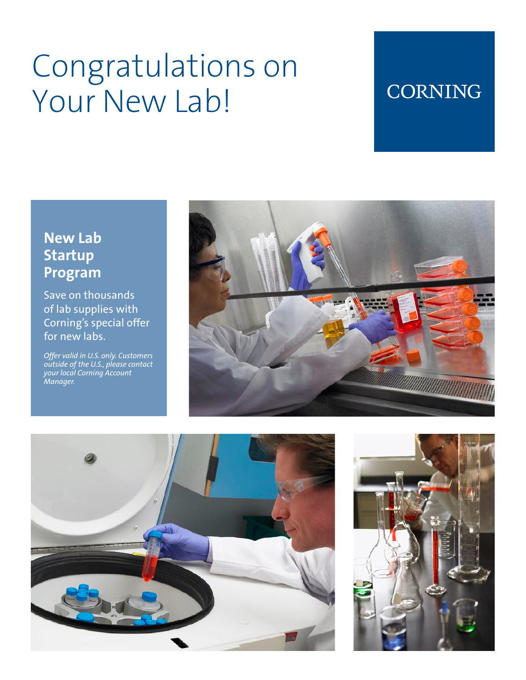# Congratulations on Your New Lab!

### **CORNING**

### **New Lab Startup Program**

Save on thousands of lab supplies with Corning's special offer for new labs.

*Offer valid in U.S. only. Customers outside of the U.S., please contact your local Corning Account Manager.*





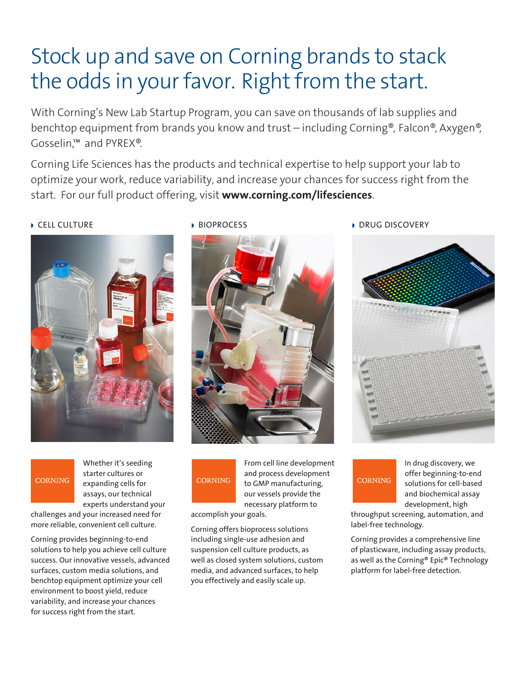## Stock up and save on Corning brands to stack the odds in your favor. Right from the start.

With Corning's New Lab Startup Program, you can save on thousands of lab supplies and benchtop equipment from brands you know and trust – including Corning®, Falcon®, Axygen®, Gosselin,™ and PYREX®.

Corning Life Sciences has the products and technical expertise to help support your lab to optimize your work, reduce variability, and increase your chances for success right from the start. For our full product offering, visit **www.corning.com/lifesciences**.



#### **CORNING**

Whether it's seeding starter cultures or expanding cells for assays, our technical experts understand your

challenges and your increased need for more reliable, convenient cell culture.

Corning provides beginning-to-end solutions to help you achieve cell culture success. Our innovative vessels, advanced surfaces, custom media solutions, and benchtop equipment optimize your cell environment to boost yield, reduce variability, and increase your chances for success right from the start.



# **CORNING**

From cell line development and process development to GMP manufacturing, our vessels provide the necessary platform to

accomplish your goals.

Corning offers bioprocess solutions including single-use adhesion and suspension cell culture products, as well as closed system solutions, custom media, and advanced surfaces, to help you effectively and easily scale up.

**w** CELL CULTURE **with a BIOPROCESS with a DRUG DISCOVERY** 



### **CORNING**

In drug discovery, we offer beginning-to-end solutions for cell-based and biochemical assay development, high

throughput screening, automation, and label-free technology.

Corning provides a comprehensive line of plasticware, including assay products, as well as the Corning® Epic® Technology platform for label-free detection.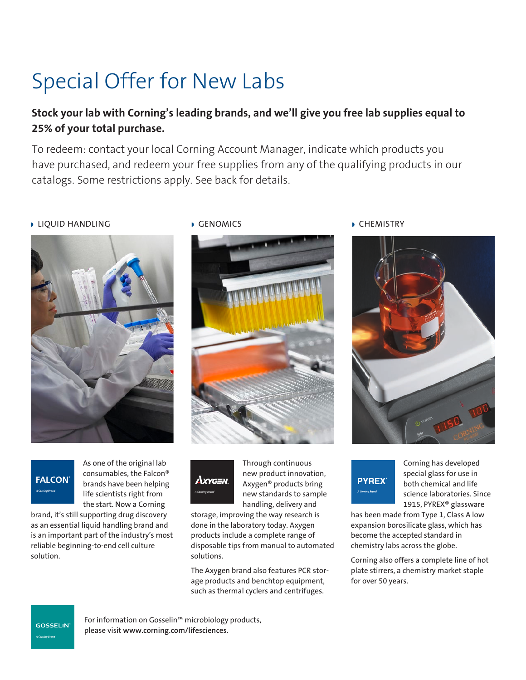# Special Offer for New Labs

### **Stock your lab with Corning's leading brands, and we'll give you free lab supplies equal to 25% of your total purchase.**

To redeem: contact your local Corning Account Manager, indicate which products you have purchased, and redeem your free supplies from any of the qualifying products in our catalogs. Some restrictions apply. See back for details.

#### **DELIQUID HANDLING**





As one of the original lab consumables, the Falcon® brands have been helping life scientists right from the start. Now a Corning

brand, it's still supporting drug discovery as an essential liquid handling brand and is an important part of the industry's most reliable beginning-to-end cell culture solution.





Through continuous new product innovation, Axygen® products bring new standards to sample handling, delivery and

storage, improving the way research is done in the laboratory today. Axygen products include a complete range of disposable tips from manual to automated solutions.

The Axygen brand also features PCR storage products and benchtop equipment, such as thermal cyclers and centrifuges.

**GENOMICS** CHEMISTRY





Corning has developed special glass for use in both chemical and life science laboratories. Since 1915, PYREX® glassware

has been made from Type 1, Class A low expansion borosilicate glass, which has become the accepted standard in chemistry labs across the globe.

Corning also offers a complete line of hot plate stirrers, a chemistry market staple for over 50 years.

**GOSSELIN** 

For information on Gosselin™ microbiology products, please visit **www.corning.com/lifesciences**.